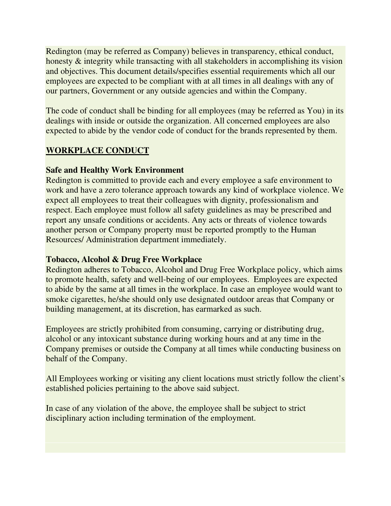Redington (may be referred as Company) believes in transparency, ethical conduct, honesty & integrity while transacting with all stakeholders in accomplishing its vision and objectives. This document details/specifies essential requirements which all our employees are expected to be compliant with at all times in all dealings with any of our partners, Government or any outside agencies and within the Company.

The code of conduct shall be binding for all employees (may be referred as You) in its dealings with inside or outside the organization. All concerned employees are also expected to abide by the vendor code of conduct for the brands represented by them.

# **WORKPLACE CONDUCT**

### **Safe and Healthy Work Environment**

Redington is committed to provide each and every employee a safe environment to work and have a zero tolerance approach towards any kind of workplace violence. We expect all employees to treat their colleagues with dignity, professionalism and respect. Each employee must follow all safety guidelines as may be prescribed and report any unsafe conditions or accidents. Any acts or threats of violence towards another person or Company property must be reported promptly to the Human Resources/ Administration department immediately.

### **Tobacco, Alcohol & Drug Free Workplace**

Redington adheres to Tobacco, Alcohol and Drug Free Workplace policy, which aims to promote health, safety and well-being of our employees. Employees are expected to abide by the same at all times in the workplace. In case an employee would want to smoke cigarettes, he/she should only use designated outdoor areas that Company or building management, at its discretion, has earmarked as such.

Employees are strictly prohibited from consuming, carrying or distributing drug, alcohol or any intoxicant substance during working hours and at any time in the Company premises or outside the Company at all times while conducting business on behalf of the Company.

All Employees working or visiting any client locations must strictly follow the client's established policies pertaining to the above said subject.

In case of any violation of the above, the employee shall be subject to strict disciplinary action including termination of the employment.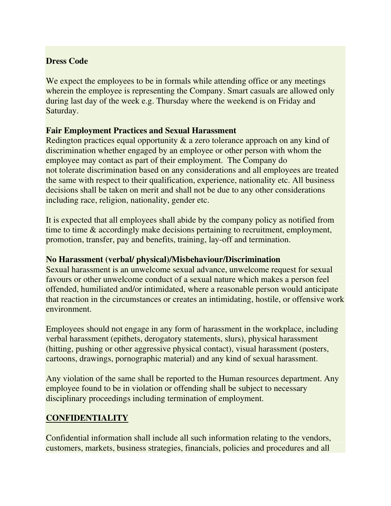### **Dress Code**

We expect the employees to be in formals while attending office or any meetings wherein the employee is representing the Company. Smart casuals are allowed only during last day of the week e.g. Thursday where the weekend is on Friday and Saturday.

### **Fair Employment Practices and Sexual Harassment**

Redington practices equal opportunity & a zero tolerance approach on any kind of discrimination whether engaged by an employee or other person with whom the employee may contact as part of their employment. The Company do not tolerate discrimination based on any considerations and all employees are treated the same with respect to their qualification, experience, nationality etc. All business decisions shall be taken on merit and shall not be due to any other considerations including race, religion, nationality, gender etc.

It is expected that all employees shall abide by the company policy as notified from time to time & accordingly make decisions pertaining to recruitment, employment, promotion, transfer, pay and benefits, training, lay-off and termination.

#### **No Harassment (verbal/ physical)/Misbehaviour/Discrimination**

Sexual harassment is an unwelcome sexual advance, unwelcome request for sexual favours or other unwelcome conduct of a sexual nature which makes a person feel offended, humiliated and/or intimidated, where a reasonable person would anticipate that reaction in the circumstances or creates an intimidating, hostile, or offensive work environment.

Employees should not engage in any form of harassment in the workplace, including verbal harassment (epithets, derogatory statements, slurs), physical harassment (hitting, pushing or other aggressive physical contact), visual harassment (posters, cartoons, drawings, pornographic material) and any kind of sexual harassment.

Any violation of the same shall be reported to the Human resources department. Any employee found to be in violation or offending shall be subject to necessary disciplinary proceedings including termination of employment.

### **CONFIDENTIALITY**

Confidential information shall include all such information relating to the vendors, customers, markets, business strategies, financials, policies and procedures and all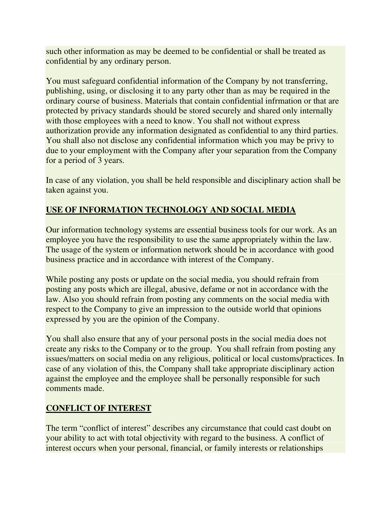such other information as may be deemed to be confidential or shall be treated as confidential by any ordinary person.

You must safeguard confidential information of the Company by not transferring, publishing, using, or disclosing it to any party other than as may be required in the ordinary course of business. Materials that contain confidential infrmation or that are protected by privacy standards should be stored securely and shared only internally with those employees with a need to know. You shall not without express authorization provide any information designated as confidential to any third parties. You shall also not disclose any confidential information which you may be privy to due to your employment with the Company after your separation from the Company for a period of 3 years.

In case of any violation, you shall be held responsible and disciplinary action shall be taken against you.

# **USE OF INFORMATION TECHNOLOGY AND SOCIAL MEDIA**

Our information technology systems are essential business tools for our work. As an employee you have the responsibility to use the same appropriately within the law. The usage of the system or information network should be in accordance with good business practice and in accordance with interest of the Company.

While posting any posts or update on the social media, you should refrain from posting any posts which are illegal, abusive, defame or not in accordance with the law. Also you should refrain from posting any comments on the social media with respect to the Company to give an impression to the outside world that opinions expressed by you are the opinion of the Company.

You shall also ensure that any of your personal posts in the social media does not create any risks to the Company or to the group. You shall refrain from posting any issues/matters on social media on any religious, political or local customs/practices. In case of any violation of this, the Company shall take appropriate disciplinary action against the employee and the employee shall be personally responsible for such comments made.

### **CONFLICT OF INTEREST**

The term "conflict of interest" describes any circumstance that could cast doubt on your ability to act with total objectivity with regard to the business. A conflict of interest occurs when your personal, financial, or family interests or relationships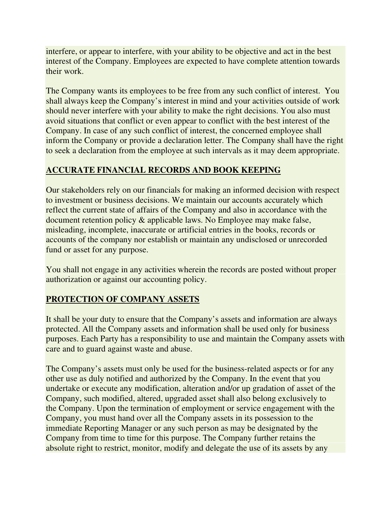interfere, or appear to interfere, with your ability to be objective and act in the best interest of the Company. Employees are expected to have complete attention towards their work.

The Company wants its employees to be free from any such conflict of interest. You shall always keep the Company's interest in mind and your activities outside of work should never interfere with your ability to make the right decisions. You also must avoid situations that conflict or even appear to conflict with the best interest of the Company. In case of any such conflict of interest, the concerned employee shall inform the Company or provide a declaration letter. The Company shall have the right to seek a declaration from the employee at such intervals as it may deem appropriate.

# **ACCURATE FINANCIAL RECORDS AND BOOK KEEPING**

Our stakeholders rely on our financials for making an informed decision with respect to investment or business decisions. We maintain our accounts accurately which reflect the current state of affairs of the Company and also in accordance with the document retention policy & applicable laws. No Employee may make false, misleading, incomplete, inaccurate or artificial entries in the books, records or accounts of the company nor establish or maintain any undisclosed or unrecorded fund or asset for any purpose.

You shall not engage in any activities wherein the records are posted without proper authorization or against our accounting policy.

# **PROTECTION OF COMPANY ASSETS**

It shall be your duty to ensure that the Company's assets and information are always protected. All the Company assets and information shall be used only for business purposes. Each Party has a responsibility to use and maintain the Company assets with care and to guard against waste and abuse.

The Company's assets must only be used for the business-related aspects or for any other use as duly notified and authorized by the Company. In the event that you undertake or execute any modification, alteration and/or up gradation of asset of the Company, such modified, altered, upgraded asset shall also belong exclusively to the Company. Upon the termination of employment or service engagement with the Company, you must hand over all the Company assets in its possession to the immediate Reporting Manager or any such person as may be designated by the Company from time to time for this purpose. The Company further retains the absolute right to restrict, monitor, modify and delegate the use of its assets by any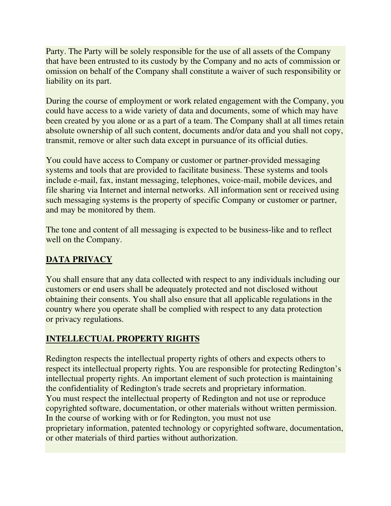Party. The Party will be solely responsible for the use of all assets of the Company that have been entrusted to its custody by the Company and no acts of commission or omission on behalf of the Company shall constitute a waiver of such responsibility or liability on its part.

During the course of employment or work related engagement with the Company, you could have access to a wide variety of data and documents, some of which may have been created by you alone or as a part of a team. The Company shall at all times retain absolute ownership of all such content, documents and/or data and you shall not copy, transmit, remove or alter such data except in pursuance of its official duties.

You could have access to Company or customer or partner-provided messaging systems and tools that are provided to facilitate business. These systems and tools include e-mail, fax, instant messaging, telephones, voice-mail, mobile devices, and file sharing via Internet and internal networks. All information sent or received using such messaging systems is the property of specific Company or customer or partner, and may be monitored by them.

The tone and content of all messaging is expected to be business-like and to reflect well on the Company.

# **DATA PRIVACY**

You shall ensure that any data collected with respect to any individuals including our customers or end users shall be adequately protected and not disclosed without obtaining their consents. You shall also ensure that all applicable regulations in the country where you operate shall be complied with respect to any data protection or privacy regulations.

# **INTELLECTUAL PROPERTY RIGHTS**

Redington respects the intellectual property rights of others and expects others to respect its intellectual property rights. You are responsible for protecting Redington's intellectual property rights. An important element of such protection is maintaining the confidentiality of Redington's trade secrets and proprietary information. You must respect the intellectual property of Redington and not use or reproduce copyrighted software, documentation, or other materials without written permission. In the course of working with or for Redington, you must not use proprietary information, patented technology or copyrighted software, documentation, or other materials of third parties without authorization.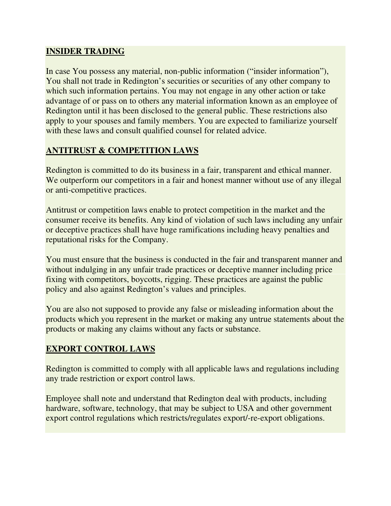# **INSIDER TRADING**

In case You possess any material, non-public information ("insider information"), You shall not trade in Redington's securities or securities of any other company to which such information pertains. You may not engage in any other action or take advantage of or pass on to others any material information known as an employee of Redington until it has been disclosed to the general public. These restrictions also apply to your spouses and family members. You are expected to familiarize yourself with these laws and consult qualified counsel for related advice.

# **ANTITRUST & COMPETITION LAWS**

Redington is committed to do its business in a fair, transparent and ethical manner. We outperform our competitors in a fair and honest manner without use of any illegal or anti-competitive practices.

Antitrust or competition laws enable to protect competition in the market and the consumer receive its benefits. Any kind of violation of such laws including any unfair or deceptive practices shall have huge ramifications including heavy penalties and reputational risks for the Company.

You must ensure that the business is conducted in the fair and transparent manner and without indulging in any unfair trade practices or deceptive manner including price fixing with competitors, boycotts, rigging. These practices are against the public policy and also against Redington's values and principles.

You are also not supposed to provide any false or misleading information about the products which you represent in the market or making any untrue statements about the products or making any claims without any facts or substance.

### **EXPORT CONTROL LAWS**

Redington is committed to comply with all applicable laws and regulations including any trade restriction or export control laws.

Employee shall note and understand that Redington deal with products, including hardware, software, technology, that may be subject to USA and other government export control regulations which restricts/regulates export/-re-export obligations.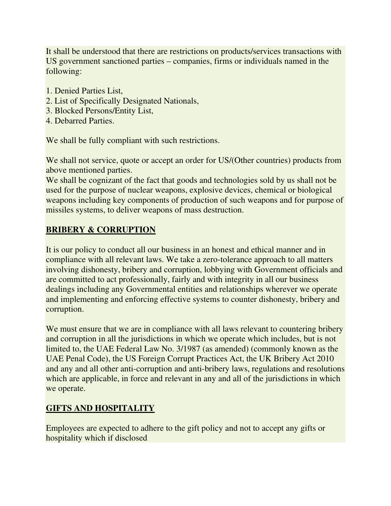It shall be understood that there are restrictions on products/services transactions with US government sanctioned parties – companies, firms or individuals named in the following:

- 1. Denied Parties List,
- 2. List of Specifically Designated Nationals,
- 3. Blocked Persons/Entity List,
- 4. Debarred Parties.

We shall be fully compliant with such restrictions.

We shall not service, quote or accept an order for US/(Other countries) products from above mentioned parties.

We shall be cognizant of the fact that goods and technologies sold by us shall not be used for the purpose of nuclear weapons, explosive devices, chemical or biological weapons including key components of production of such weapons and for purpose of missiles systems, to deliver weapons of mass destruction.

# **BRIBERY & CORRUPTION**

It is our policy to conduct all our business in an honest and ethical manner and in compliance with all relevant laws. We take a zero-tolerance approach to all matters involving dishonesty, bribery and corruption, lobbying with Government officials and are committed to act professionally, fairly and with integrity in all our business dealings including any Governmental entities and relationships wherever we operate and implementing and enforcing effective systems to counter dishonesty, bribery and corruption.

We must ensure that we are in compliance with all laws relevant to countering bribery and corruption in all the jurisdictions in which we operate which includes, but is not limited to, the UAE Federal Law No. 3/1987 (as amended) (commonly known as the UAE Penal Code), the US Foreign Corrupt Practices Act, the UK Bribery Act 2010 and any and all other anti-corruption and anti-bribery laws, regulations and resolutions which are applicable, in force and relevant in any and all of the jurisdictions in which we operate.

# **GIFTS AND HOSPITALITY**

Employees are expected to adhere to the gift policy and not to accept any gifts or hospitality which if disclosed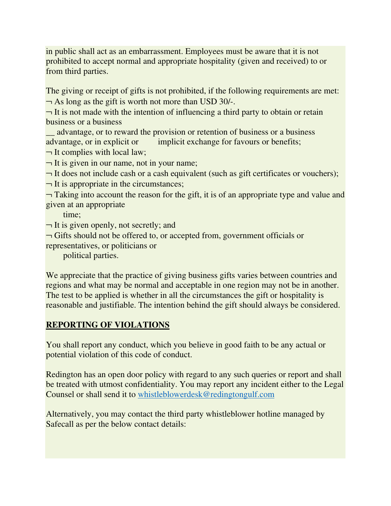in public shall act as an embarrassment. Employees must be aware that it is not prohibited to accept normal and appropriate hospitality (given and received) to or from third parties.

The giving or receipt of gifts is not prohibited, if the following requirements are met:  $\neg$  As long as the gift is worth not more than USD 30/-.

 $\neg$  It is not made with the intention of influencing a third party to obtain or retain business or a business

\_\_ advantage, or to reward the provision or retention of business or a business advantage, or in explicit or implicit exchange for favours or benefits;

 $\neg$  It complies with local law;

 $\neg$  It is given in our name, not in your name;

 $\neg$  It does not include cash or a cash equivalent (such as gift certificates or vouchers);

 $\neg$  It is appropriate in the circumstances;

 $\neg$  Taking into account the reason for the gift, it is of an appropriate type and value and given at an appropriate

time;

 $\neg$  It is given openly, not secretly; and

 $\neg$  Gifts should not be offered to, or accepted from, government officials or

representatives, or politicians or

political parties.

We appreciate that the practice of giving business gifts varies between countries and regions and what may be normal and acceptable in one region may not be in another. The test to be applied is whether in all the circumstances the gift or hospitality is reasonable and justifiable. The intention behind the gift should always be considered.

# **REPORTING OF VIOLATIONS**

You shall report any conduct, which you believe in good faith to be any actual or potential violation of this code of conduct.

Redington has an open door policy with regard to any such queries or report and shall be treated with utmost confidentiality. You may report any incident either to the Legal Counsel or shall send it to whistleblowerdesk@redingtongulf.com

Alternatively, you may contact the third party whistleblower hotline managed by Safecall as per the below contact details: